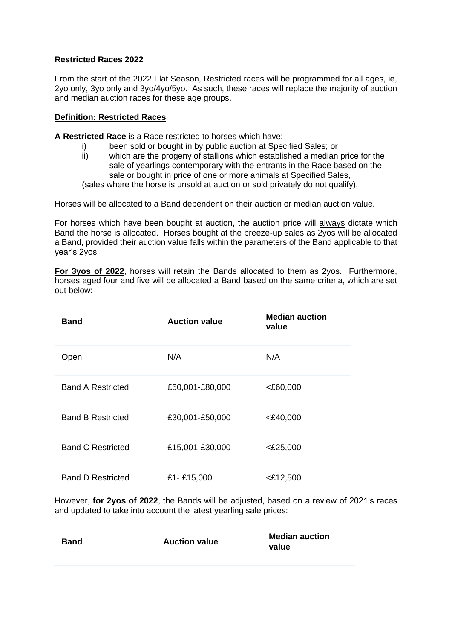## **Restricted Races 2022**

From the start of the 2022 Flat Season, Restricted races will be programmed for all ages, ie, 2yo only, 3yo only and 3yo/4yo/5yo. As such, these races will replace the majority of auction and median auction races for these age groups.

## **Definition: Restricted Races**

**A Restricted Race** is a Race restricted to horses which have:

- i) been sold or bought in by public auction at Specified Sales; or
- ii) which are the progeny of stallions which established a median price for the sale of yearlings contemporary with the entrants in the Race based on the sale or bought in price of one or more animals at Specified Sales,

(sales where the horse is unsold at auction or sold privately do not qualify).

Horses will be allocated to a Band dependent on their auction or median auction value.

For horses which have been bought at auction, the auction price will always dictate which Band the horse is allocated. Horses bought at the breeze-up sales as 2yos will be allocated a Band, provided their auction value falls within the parameters of the Band applicable to that year's 2yos.

**For 3yos of 2022**, horses will retain the Bands allocated to them as 2yos. Furthermore, horses aged four and five will be allocated a Band based on the same criteria, which are set out below:

| <b>Band</b>              | <b>Auction value</b> | <b>Median auction</b><br>value |
|--------------------------|----------------------|--------------------------------|
| Open                     | N/A                  | N/A                            |
| <b>Band A Restricted</b> | £50,001-£80,000      | <£60,000                       |
| <b>Band B Restricted</b> | £30,001-£50,000      | $<$ £40,000                    |
| <b>Band C Restricted</b> | £15,001-£30,000      | $<$ £25,000                    |
| <b>Band D Restricted</b> | £1-£15,000           | $<$ £12,500                    |

However, **for 2yos of 2022**, the Bands will be adjusted, based on a review of 2021's races and updated to take into account the latest yearling sale prices:

| Band | <b>Auction value</b> | <b>Median auction</b><br>value |
|------|----------------------|--------------------------------|
|      |                      |                                |